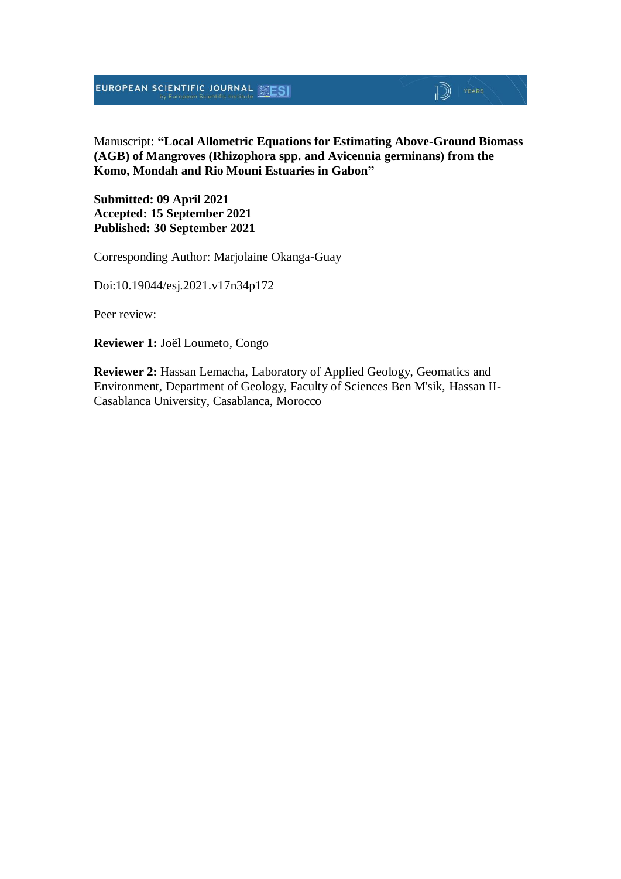EUROPEAN SCIENTIFIC JOURNAL **SESI** 

# Manuscript: **"Local Allometric Equations for Estimating Above-Ground Biomass (AGB) of Mangroves (Rhizophora spp. and Avicennia germinans) from the Komo, Mondah and Rio Mouni Estuaries in Gabon"**

 $\mathbb{D}$   $\mathbb{P}$   $\mathbb{P}$   $\mathbb{P}$   $\mathbb{P}$   $\mathbb{P}$   $\mathbb{P}$   $\mathbb{P}$   $\mathbb{P}$   $\mathbb{P}$   $\mathbb{P}$   $\mathbb{P}$   $\mathbb{P}$   $\mathbb{P}$   $\mathbb{P}$   $\mathbb{P}$   $\mathbb{P}$   $\mathbb{P}$   $\mathbb{P}$   $\mathbb{P}$   $\mathbb{P}$   $\mathbb{P}$   $\mathbb{P}$   $\mathbb{P}$   $\mathbb{$ 

**Submitted: 09 April 2021 Accepted: 15 September 2021 Published: 30 September 2021**

Corresponding Author: Marjolaine Okanga-Guay

Doi:10.19044/esj.2021.v17n34p172

Peer review:

**Reviewer 1:** Joël Loumeto, Congo

**Reviewer 2:** Hassan Lemacha, Laboratory of Applied Geology, Geomatics and Environment, Department of Geology, Faculty of Sciences Ben M'sik, Hassan II-Casablanca University, Casablanca, Morocco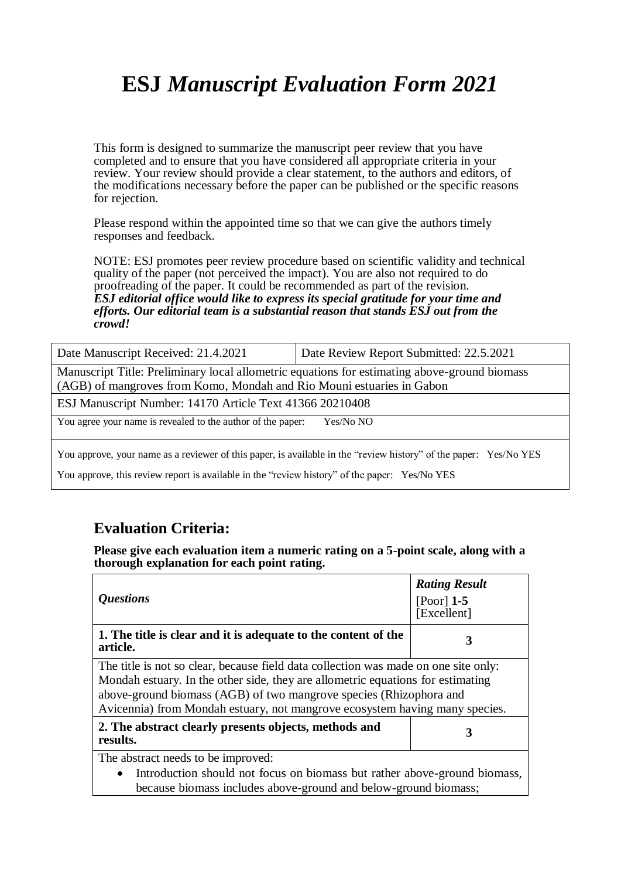# **ESJ** *Manuscript Evaluation Form 2021*

This form is designed to summarize the manuscript peer review that you have completed and to ensure that you have considered all appropriate criteria in your review. Your review should provide a clear statement, to the authors and editors, of the modifications necessary before the paper can be published or the specific reasons for rejection.

Please respond within the appointed time so that we can give the authors timely responses and feedback.

NOTE: ESJ promotes peer review procedure based on scientific validity and technical quality of the paper (not perceived the impact). You are also not required to do proofreading of the paper. It could be recommended as part of the revision. *ESJ editorial office would like to express its special gratitude for your time and efforts. Our editorial team is a substantial reason that stands ESJ out from the crowd!* 

| Date Manuscript Received: 21.4.2021                                                                                                                                   | Date Review Report Submitted: 22.5.2021 |  |  |
|-----------------------------------------------------------------------------------------------------------------------------------------------------------------------|-----------------------------------------|--|--|
| Manuscript Title: Preliminary local allometric equations for estimating above-ground biomass<br>(AGB) of mangroves from Komo, Mondah and Rio Mouni estuaries in Gabon |                                         |  |  |
| ESJ Manuscript Number: 14170 Article Text 41366 20210408                                                                                                              |                                         |  |  |
| You agree your name is revealed to the author of the paper:                                                                                                           | Yes/No NO                               |  |  |
| You approve, your name as a reviewer of this paper, is available in the "review history" of the paper: Yes/No YES                                                     |                                         |  |  |

You approve, this review report is available in the "review history" of the paper: Yes/No YES

# **Evaluation Criteria:**

**Please give each evaluation item a numeric rating on a 5-point scale, along with a thorough explanation for each point rating.**

| <i><b>Ouestions</b></i>                                                                                                                                                                                                                                                                                                     | <b>Rating Result</b><br>$[Poor]$ 1-5<br>[Excellent] |  |
|-----------------------------------------------------------------------------------------------------------------------------------------------------------------------------------------------------------------------------------------------------------------------------------------------------------------------------|-----------------------------------------------------|--|
| 1. The title is clear and it is adequate to the content of the<br>article.                                                                                                                                                                                                                                                  | 3                                                   |  |
| The title is not so clear, because field data collection was made on one site only:<br>Mondah estuary. In the other side, they are allometric equations for estimating<br>above-ground biomass (AGB) of two mangrove species (Rhizophora and<br>Avicennia) from Mondah estuary, not mangrove ecosystem having many species. |                                                     |  |
| 2. The abstract clearly presents objects, methods and<br>results.                                                                                                                                                                                                                                                           | 3                                                   |  |
| The abstract needs to be improved:                                                                                                                                                                                                                                                                                          |                                                     |  |
| Introduction should not focus on biomass but rather above-ground biomass,<br>because biomass includes above-ground and below-ground biomass;                                                                                                                                                                                |                                                     |  |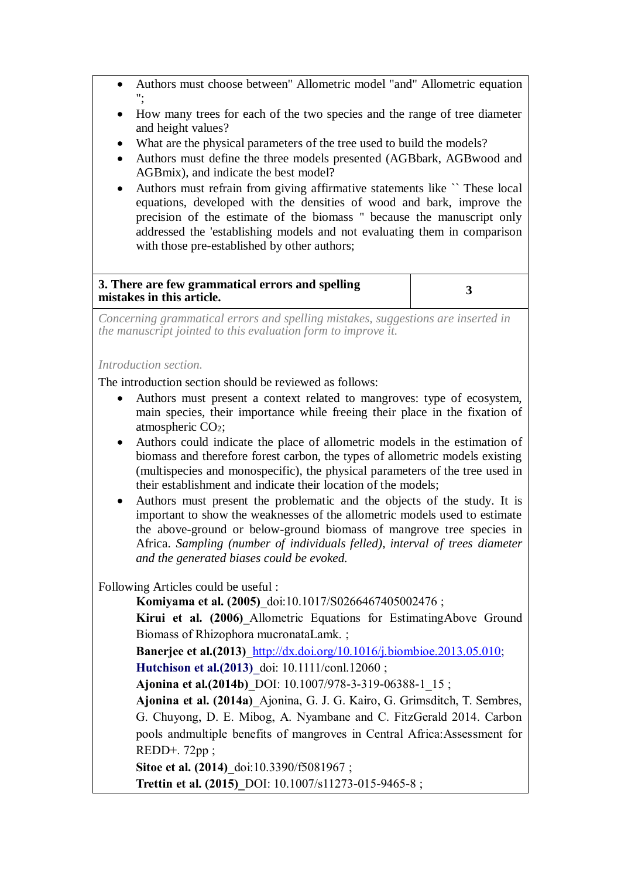- Authors must choose between" Allometric model "and" Allometric equation ";
- How many trees for each of the two species and the range of tree diameter and height values?
- What are the physical parameters of the tree used to build the models?
- Authors must define the three models presented (AGBbark, AGBwood and AGBmix), and indicate the best model?
- Authors must refrain from giving affirmative statements like `` These local equations, developed with the densities of wood and bark, improve the precision of the estimate of the biomass '' because the manuscript only addressed the 'establishing models and not evaluating them in comparison with those pre-established by other authors:

# **3. There are few grammatical errors and spelling mistakes in this article. <sup>3</sup>**

*Concerning grammatical errors and spelling mistakes, suggestions are inserted in the manuscript jointed to this evaluation form to improve it.*

#### *Introduction section.*

The introduction section should be reviewed as follows:

- Authors must present a context related to mangroves: type of ecosystem, main species, their importance while freeing their place in the fixation of atmospheric CO2;
- Authors could indicate the place of allometric models in the estimation of biomass and therefore forest carbon, the types of allometric models existing (multispecies and monospecific), the physical parameters of the tree used in their establishment and indicate their location of the models;
- Authors must present the problematic and the objects of the study. It is important to show the weaknesses of the allometric models used to estimate the above-ground or below-ground biomass of mangrove tree species in Africa. *Sampling (number of individuals felled), interval of trees diameter and the generated biases could be evoked.*

Following Articles could be useful :

**Komiyama et al. (2005)**\_doi:10.1017/S0266467405002476 ;

**Kirui et al. (2006)**\_Allometric Equations for EstimatingAbove Ground Biomass of Rhizophora mucronataLamk. ;

**Banerjee et al.(2013)**[\\_http://dx.doi.org/10.1016/j.biombioe.2013.05.010;](http://dx.doi.org/10.1016/j.biombioe.2013.05.010)

**Hutchison et al.(2013)** doi: 10.1111/conl.12060 ;

**Ajonina et al.(2014b)**\_DOI: 10.1007/978-3-319-06388-1\_15 ;

**Ajonina et al. (2014a)**\_Ajonina, G. J. G. Kairo, G. Grimsditch, T. Sembres, G. Chuyong, D. E. Mibog, A. Nyambane and C. FitzGerald 2014. Carbon pools andmultiple benefits of mangroves in Central Africa:Assessment for REDD+. 72pp ;

**Sitoe et al. (2014)** doi:10.3390/f5081967 ;

**Trettin et al. (2015)\_**DOI: 10.1007/s11273-015-9465-8 ;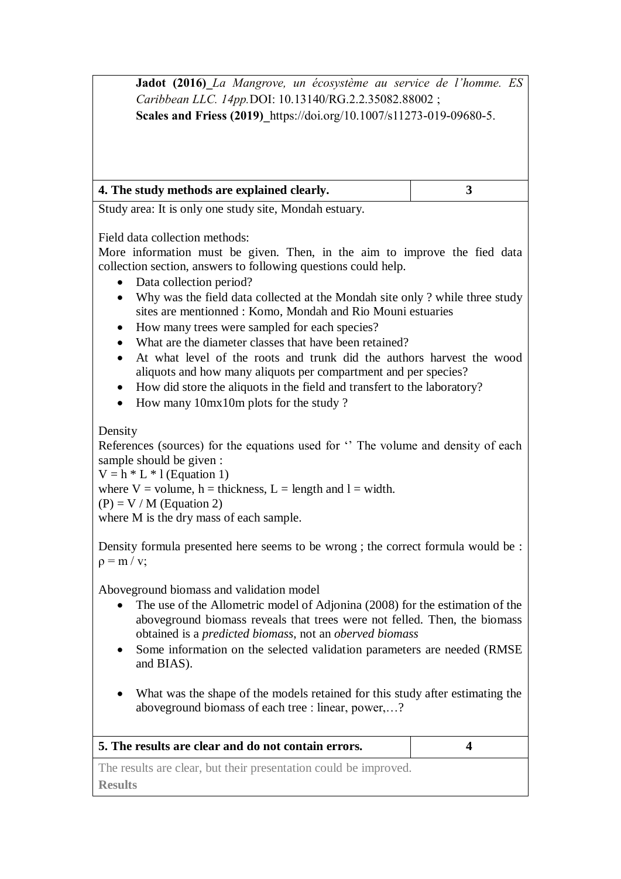**Jadot (2016)\_***La Mangrove, un écosystème au service de l'homme. ES Caribbean LLC. 14pp.*DOI: 10.13140/RG.2.2.35082.88002 ; **Scales and Friess (2019)\_**https://doi.org/10.1007/s11273-019-09680-5.

| 4. The study methods are explained clearly. |  |
|---------------------------------------------|--|
|                                             |  |

Study area: It is only one study site, Mondah estuary.

Field data collection methods:

More information must be given. Then, in the aim to improve the fied data collection section, answers to following questions could help.

- Data collection period?
- Why was the field data collected at the Mondah site only ? while three study sites are mentionned : Komo, Mondah and Rio Mouni estuaries
- How many trees were sampled for each species?
- What are the diameter classes that have been retained?
- At what level of the roots and trunk did the authors harvest the wood aliquots and how many aliquots per compartment and per species?
- How did store the aliquots in the field and transfert to the laboratory?
- How many 10mx10m plots for the study ?

Density

References (sources) for the equations used for '' The volume and density of each sample should be given :

 $V = h * L * l$  (Equation 1)

where  $V =$  volume, h = thickness, L = length and l = width.

 $(P) = V / M$  (Equation 2)

where M is the dry mass of each sample.

Density formula presented here seems to be wrong ; the correct formula would be :  $\rho = m / v;$ 

Aboveground biomass and validation model

- The use of the Allometric model of Adjonina (2008) for the estimation of the aboveground biomass reveals that trees were not felled. Then, the biomass obtained is a *predicted biomass*, not an *oberved biomass*
- Some information on the selected validation parameters are needed (RMSE and BIAS).
- What was the shape of the models retained for this study after estimating the aboveground biomass of each tree : linear, power,…?

| 5. The results are clear and do not contain errors.              |  |
|------------------------------------------------------------------|--|
| The results are clear, but their presentation could be improved. |  |
| <b>Results</b>                                                   |  |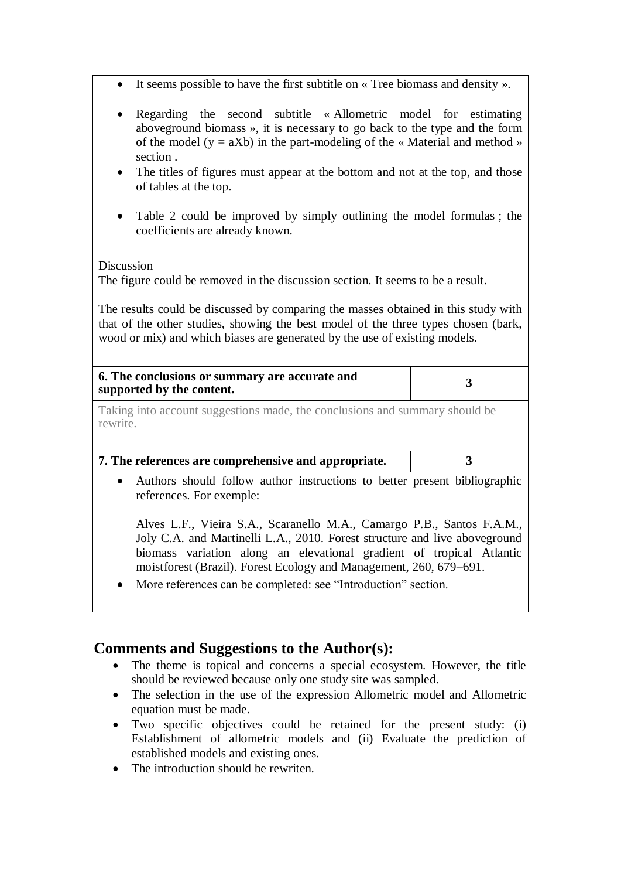- It seems possible to have the first subtitle on « Tree biomass and density ».
- Regarding the second subtitle « Allometric model for estimating aboveground biomass », it is necessary to go back to the type and the form of the model ( $y = aXb$ ) in the part-modeling of the « Material and method » section .
- The titles of figures must appear at the bottom and not at the top, and those of tables at the top.
- Table 2 could be improved by simply outlining the model formulas ; the coefficients are already known.

Discussion

The figure could be removed in the discussion section. It seems to be a result.

The results could be discussed by comparing the masses obtained in this study with that of the other studies, showing the best model of the three types chosen (bark, wood or mix) and which biases are generated by the use of existing models.

| 6. The conclusions or summary are accurate and<br>supported by the content.             |  |  |  |
|-----------------------------------------------------------------------------------------|--|--|--|
| Taking into account suggestions made, the conclusions and summary should be<br>rewrite. |  |  |  |
| 7. The references are comprehensive and appropriate.                                    |  |  |  |
| Authors should follow author instructions to better present bibliographic<br>$\bullet$  |  |  |  |

references. For exemple:

Alves L.F., Vieira S.A., Scaranello M.A., Camargo P.B., Santos F.A.M., Joly C.A. and Martinelli L.A., 2010. Forest structure and live aboveground biomass variation along an elevational gradient of tropical Atlantic moistforest (Brazil). Forest Ecology and Management, 260, 679–691.

More references can be completed: see "Introduction" section.

# **Comments and Suggestions to the Author(s):**

- The theme is topical and concerns a special ecosystem. However, the title should be reviewed because only one study site was sampled.
- The selection in the use of the expression Allometric model and Allometric equation must be made.
- Two specific objectives could be retained for the present study: (i) Establishment of allometric models and (ii) Evaluate the prediction of established models and existing ones.
- The introduction should be rewriten.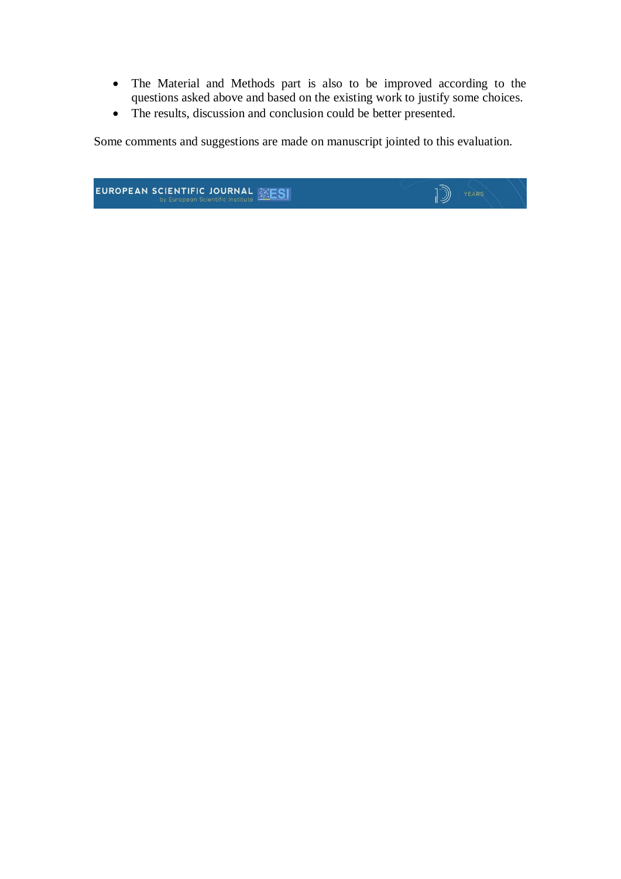- The Material and Methods part is also to be improved according to the questions asked above and based on the existing work to justify some choices.
- The results, discussion and conclusion could be better presented.

Some comments and suggestions are made on manuscript jointed to this evaluation.

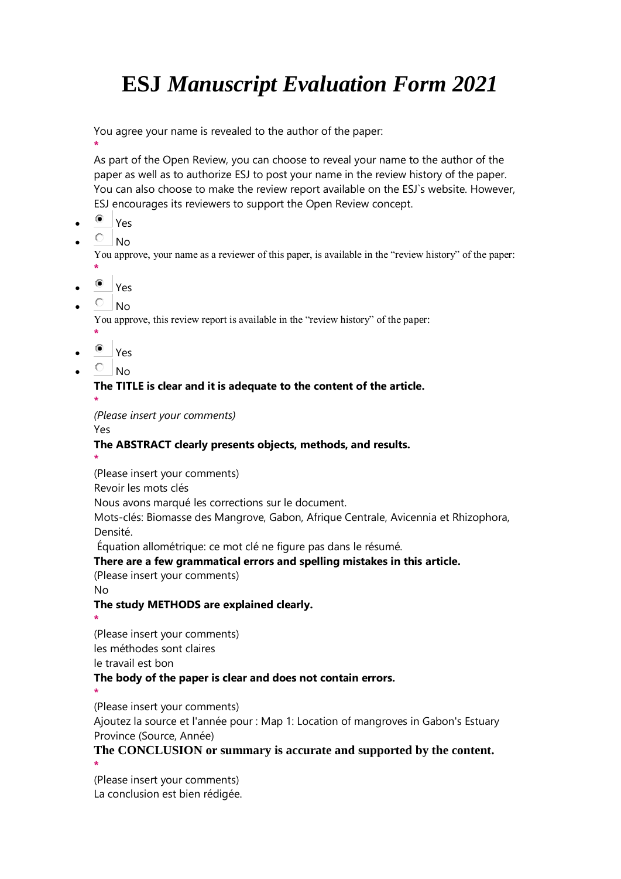# **ESJ** *Manuscript Evaluation Form 2021*

You agree your name is revealed to the author of the paper:

**\*** As part of the Open Review, you can choose to reveal your name to the author of the paper as well as to authorize ESJ to post your name in the review history of the paper. You can also choose to make the review report available on the ESJ`s website. However, ESJ encourages its reviewers to support the Open Review concept.

- Yes
- $\overline{O}$  No

You approve, your name as a reviewer of this paper, is available in the "review history" of the paper: **\***

- $\bullet$  Yes
- $\overline{C}$  No

You approve, this review report is available in the "review history" of the paper:

- **\***
- $\bullet$  Yes
- $\overline{O}$  No

## **The TITLE is clear and it is adequate to the content of the article.**

**\*** *(Please insert your comments)*

Yes

## **The ABSTRACT clearly presents objects, methods, and results.**

**\***

(Please insert your comments)

Revoir les mots clés

Nous avons marqué les corrections sur le document.

Mots-clés: Biomasse des Mangrove, Gabon, Afrique Centrale, Avicennia et Rhizophora, Densité.

Équation allométrique: ce mot clé ne figure pas dans le résumé.

## **There are a few grammatical errors and spelling mistakes in this article.**

(Please insert your comments)

No

## **The study METHODS are explained clearly.**

**\***

(Please insert your comments)

les méthodes sont claires

le travail est bon

## **The body of the paper is clear and does not contain errors.**

**\***

(Please insert your comments)

Ajoutez la source et l'année pour : Map 1: Location of mangroves in Gabon's Estuary Province (Source, Année)

## **The CONCLUSION or summary is accurate and supported by the content.**

**\*** (Please insert your comments) La conclusion est bien rédigée.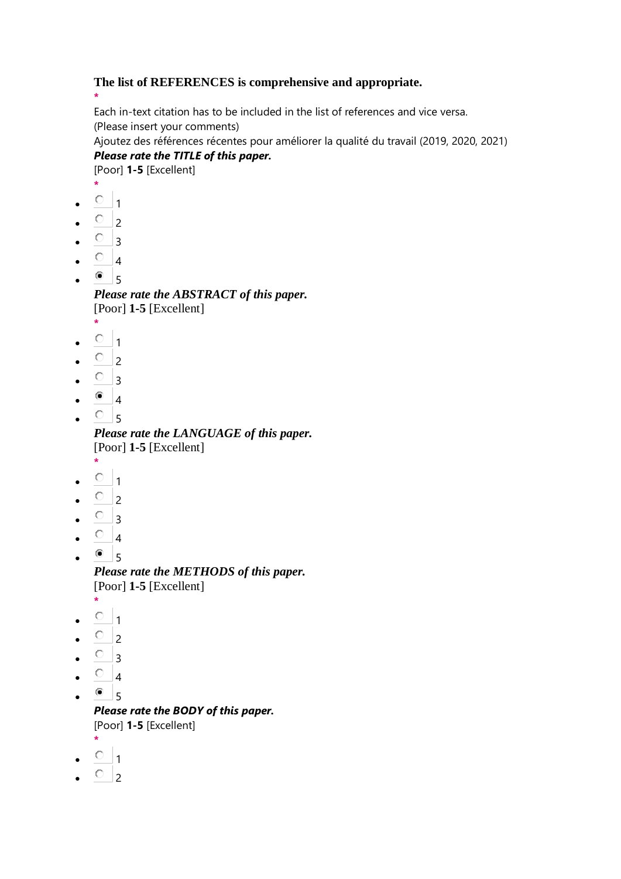#### **The list of REFERENCES is comprehensive and appropriate.**

**\*** Each in-text citation has to be included in the list of references and vice versa. (Please insert your comments)

Ajoutez des références récentes pour améliorer la qualité du travail (2019, 2020, 2021) *Please rate the TITLE of this paper.*

[Poor] **1-5** [Excellent]

- **\***
- $0<sub>1</sub>$
- $\overline{O}$  2
- $\circ$  3
- $\overline{O}$  4
- $\bullet$  5

*Please rate the ABSTRACT of this paper.* [Poor] **1-5** [Excellent]

- **\***  $\circ$  1
- $\overline{O}$  2
- $\circ$  3
- $\bullet$  4
- $\cdot$   $\circ$  5

*Please rate the LANGUAGE of this paper.* [Poor] **1-5** [Excellent]

- **\***  $\circ$  1
- $\circ$  2
- $\circ$  3
- $\circ$  4
- $^{\circ}$ <sub>5</sub> *Please rate the METHODS of this paper.* [Poor] **1-5** [Excellent]
- **\***
- $\circ$  1
- $O_{2}$
- $\circ$  3
- $\circ$  4
- $\bullet$  5
	- *Please rate the BODY of this paper.* [Poor] **1-5** [Excellent]
- **\***  $^{\circ}$  1
- $\circ$ <sub>2</sub>